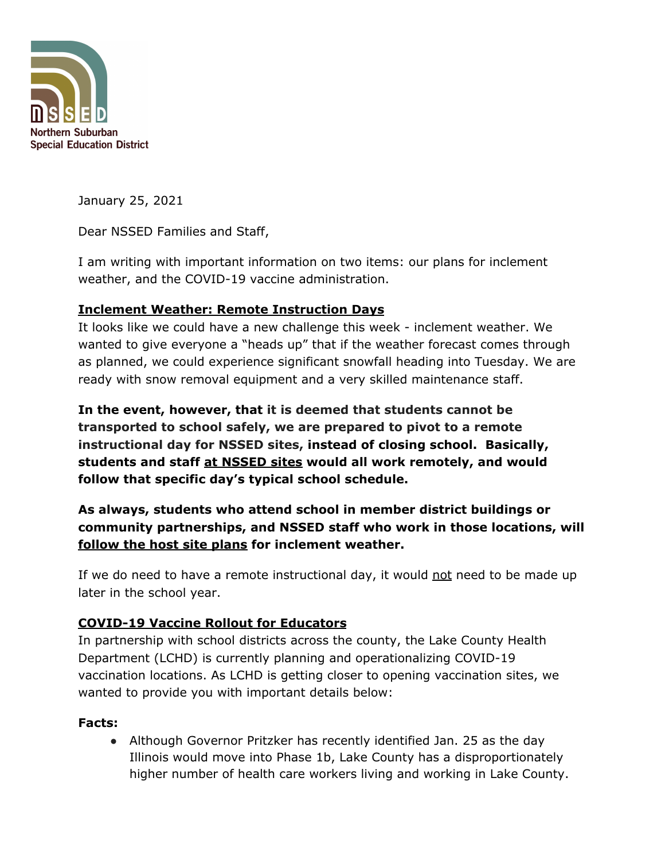

January 25, 2021

Dear NSSED Families and Staff,

I am writing with important information on two items: our plans for inclement weather, and the COVID-19 vaccine administration.

## **Inclement Weather: Remote Instruction Days**

It looks like we could have a new challenge this week - inclement weather. We wanted to give everyone a "heads up" that if the weather forecast comes through as planned, we could experience significant snowfall heading into Tuesday. We are ready with snow removal equipment and a very skilled maintenance staff.

**In the event, however, that it is deemed that students cannot be transported to school safely, we are prepared to pivot to a remote instructional day for NSSED sites, instead of closing school. Basically, students and staff at NSSED sites would all work remotely, and would follow that specific day's typical school schedule.**

# **As always, students who attend school in member district buildings or community partnerships, and NSSED staff who work in those locations, will follow the host site plans for inclement weather.**

If we do need to have a remote instructional day, it would not need to be made up later in the school year.

## **COVID-19 Vaccine Rollout for Educators**

In partnership with school districts across the county, the Lake County Health Department (LCHD) is currently planning and operationalizing COVID-19 vaccination locations. As LCHD is getting closer to opening vaccination sites, we wanted to provide you with important details below:

## **Facts:**

• Although Governor Pritzker has recently identified Jan. 25 as the day Illinois would move into Phase 1b, Lake County has a disproportionately higher number of health care workers living and working in Lake County.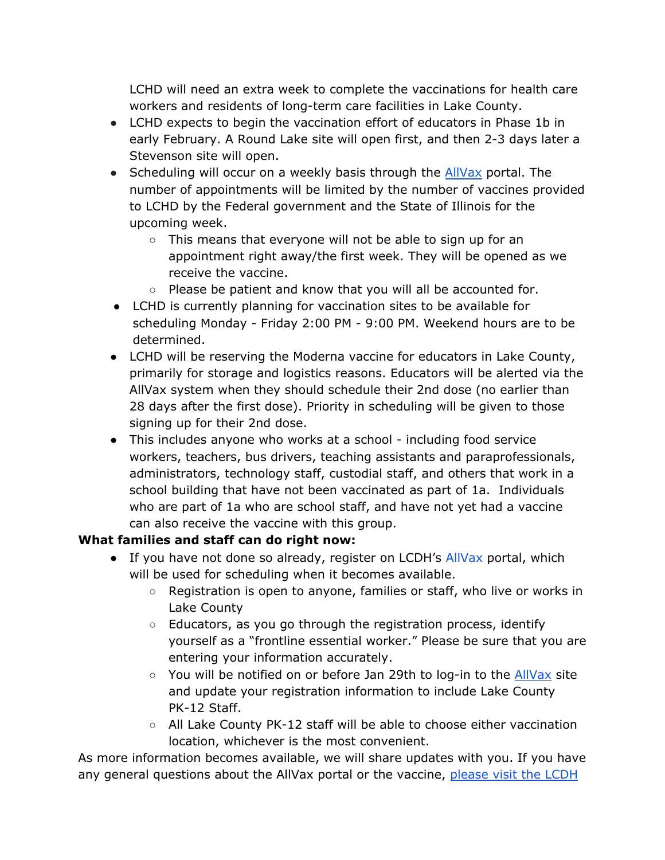LCHD will need an extra week to complete the vaccinations for health care workers and residents of long-term care facilities in Lake County.

- LCHD expects to begin the vaccination effort of educators in Phase 1b in early February. A Round Lake site will open first, and then 2-3 days later a Stevenson site will open.
- Scheduling will occur on a weekly basis through the **[AllVax](https://linkprotect.cudasvc.com/url?a=https%3a%2f%2fallvax.lakecohealth.org%2fs&c=E,1,AN8HmLnhG6QG7ubIB9sXArOdIhe8lBwZCEBvAhdz12MZk8dite-u-uxkslbU4HPB5ooZ0q4mqH2pRCsS-wTaQXzqRc4bLII2EarMY5j4dEXB5sQZkmUo3XuQ&typo=1)** portal. The number of appointments will be limited by the number of vaccines provided to LCHD by the Federal government and the State of Illinois for the upcoming week.
	- This means that everyone will not be able to sign up for an appointment right away/the first week. They will be opened as we receive the vaccine.
	- Please be patient and know that you will all be accounted for.
- LCHD is currently planning for vaccination sites to be available for scheduling Monday - Friday 2:00 PM - 9:00 PM. Weekend hours are to be determined.
- LCHD will be reserving the Moderna vaccine for educators in Lake County, primarily for storage and logistics reasons. Educators will be alerted via the AllVax system when they should schedule their 2nd dose (no earlier than 28 days after the first dose). Priority in scheduling will be given to those signing up for their 2nd dose.
- This includes anyone who works at a school including food service workers, teachers, bus drivers, teaching assistants and paraprofessionals, administrators, technology staff, custodial staff, and others that work in a school building that have not been vaccinated as part of 1a. Individuals who are part of 1a who are school staff, and have not yet had a vaccine can also receive the vaccine with this group.

### **What families and staff can do right now:**

- If you have not done so already, [register](https://linkprotect.cudasvc.com/url?a=https%3a%2f%2fallvax.lakecohealth.org%2fs&c=E,1,AN8HmLnhG6QG7ubIB9sXArOdIhe8lBwZCEBvAhdz12MZk8dite-u-uxkslbU4HPB5ooZ0q4mqH2pRCsS-wTaQXzqRc4bLII2EarMY5j4dEXB5sQZkmUo3XuQ&typo=1) on LCDH's AllVax portal, which will be used for scheduling when it becomes available.
	- Registration is open to anyone, families or staff, who live or works in Lake County
	- Educators, as you go through the registration process, identify yourself as a "frontline essential worker." Please be sure that you are entering your information accurately.
	- You will be notified on or before Jan 29th to log-in to the **[AllVax](https://linkprotect.cudasvc.com/url?a=https%3a%2f%2fallvax.lakecohealth.org%2fs&c=E,1,AN8HmLnhG6QG7ubIB9sXArOdIhe8lBwZCEBvAhdz12MZk8dite-u-uxkslbU4HPB5ooZ0q4mqH2pRCsS-wTaQXzqRc4bLII2EarMY5j4dEXB5sQZkmUo3XuQ&typo=1)** site and update your registration information to include Lake County PK-12 Staff.
	- All Lake County PK-12 staff will be able to choose either vaccination location, whichever is the most convenient.

As more information becomes available, we will share updates with you. If you have any general questions about the AllVax portal or the vaccine, [please](https://linkprotect.cudasvc.com/url?a=https%3a%2f%2fallvax.lakecohealth.org%2fs&c=E,1,9rK_qbGG_XJI8sbIxabZ8_mdC6lLUE4JJZBZ9sBtYa_RDwoTPDD-FkoWgi1mj5beTTn3E2zSUMdD5ChZYBahZ02fPTwlj9lWsrlIi1eQ9Rc0skGB&typo=1) visit the LCDH